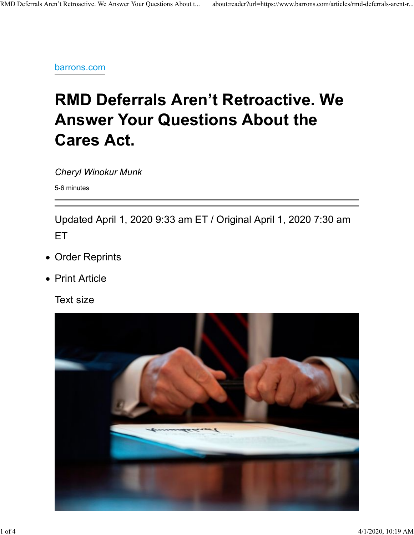barrons.com

# RMD Deferrals Aren't Retroactive. We Answer Your Questions About the Cares Act.

Cheryl Winokur Munk

5-6 minutes

Updated April 1, 2020 9:33 am ET / Original April 1, 2020 7:30 am ET

- Order Reprints
- Print Article

Text size

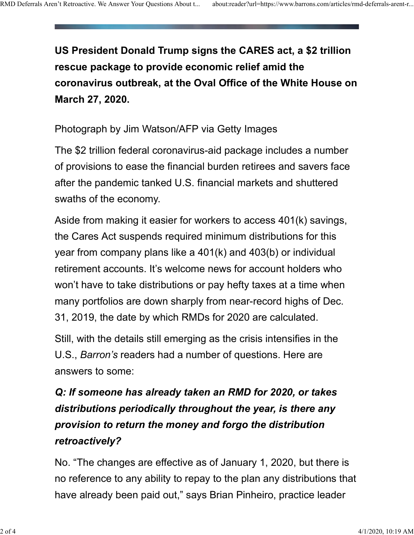US President Donald Trump signs the CARES act, a \$2 trillion rescue package to provide economic relief amid the coronavirus outbreak, at the Oval Office of the White House on March 27, 2020. RMD Deferrals Aren't Retroactive. We Answer Your Questions About t... about:reader?url=https://www.barrons.com/articles/rmd-deferrals-arent-r...<br> **Example:** The Campbell Transport of the CADEO path of CADEO path of CADEO p

Photograph by Jim Watson/AFP via Getty Images

The \$2 trillion federal coronavirus-aid package includes a number of provisions to ease the financial burden retirees and savers face after the pandemic tanked U.S. financial markets and shuttered swaths of the economy.

Aside from making it easier for workers to access 401(k) savings, the Cares Act suspends required minimum distributions for this year from company plans like a 401(k) and 403(b) or individual retirement accounts. It's welcome news for account holders who won't have to take distributions or pay hefty taxes at a time when many portfolios are down sharply from near-record highs of Dec. 31, 2019, the date by which RMDs for 2020 are calculated.

Still, with the details still emerging as the crisis intensifies in the U.S., Barron's readers had a number of questions. Here are answers to some:

## Q: If someone has already taken an RMD for 2020, or takes distributions periodically throughout the year, is there any provision to return the money and forgo the distribution retroactively?

No. "The changes are effective as of January 1, 2020, but there is no reference to any ability to repay to the plan any distributions that have already been paid out," says Brian Pinheiro, practice leader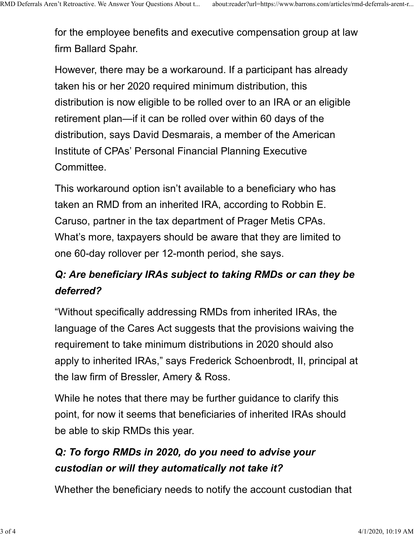for the employee benefits and executive compensation group at law firm Ballard Spahr. RMD Deferrals Aren't Retroactive. We Answer Your Questions About t... about:reader?url=https://www.barrons.com/articles/rmd-deferrals-arent-r...<br>for the employee benefits and executive compensation group at law<br>firm Ballar

> However, there may be a workaround. If a participant has already taken his or her 2020 required minimum distribution, this distribution is now eligible to be rolled over to an IRA or an eligible retirement plan—if it can be rolled over within 60 days of the distribution, says David Desmarais, a member of the American Institute of CPAs' Personal Financial Planning Executive Committee.

This workaround option isn't available to a beneficiary who has taken an RMD from an inherited IRA, according to Robbin E. Caruso, partner in the tax department of Prager Metis CPAs. What's more, taxpayers should be aware that they are limited to one 60-day rollover per 12-month period, she says.

#### Q: Are beneficiary IRAs subject to taking RMDs or can they be deferred?

"Without specifically addressing RMDs from inherited IRAs, the language of the Cares Act suggests that the provisions waiving the requirement to take minimum distributions in 2020 should also apply to inherited IRAs," says Frederick Schoenbrodt, II, principal at the law firm of Bressler, Amery & Ross.

While he notes that there may be further guidance to clarify this point, for now it seems that beneficiaries of inherited IRAs should be able to skip RMDs this year.

#### Q: To forgo RMDs in 2020, do you need to advise your custodian or will they automatically not take it?

Whether the beneficiary needs to notify the account custodian that